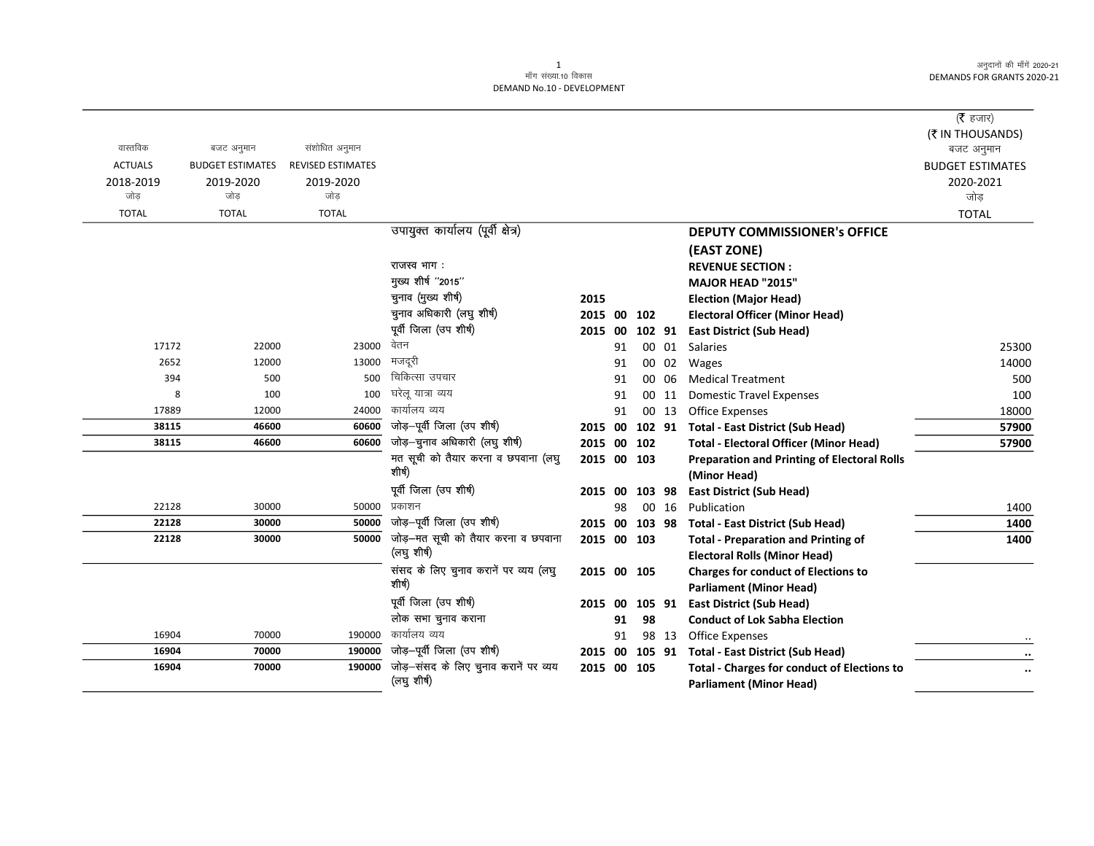|                |                         |                          |                                                      |             |    |        |       |                                                                                      | ( $\bar{\tau}$ हजार)<br>(₹ IN THOUSANDS) |
|----------------|-------------------------|--------------------------|------------------------------------------------------|-------------|----|--------|-------|--------------------------------------------------------------------------------------|------------------------------------------|
| वास्तविक       | बजट अनुमान              | संशोधित अनुमान           |                                                      |             |    |        |       |                                                                                      | बजट अनुमान                               |
| <b>ACTUALS</b> | <b>BUDGET ESTIMATES</b> | <b>REVISED ESTIMATES</b> |                                                      |             |    |        |       |                                                                                      | <b>BUDGET ESTIMATES</b>                  |
| 2018-2019      | 2019-2020               | 2019-2020                |                                                      |             |    |        |       |                                                                                      | 2020-2021                                |
| जोड            | जोड                     | जोड                      |                                                      |             |    |        |       |                                                                                      | जोड़                                     |
| <b>TOTAL</b>   | <b>TOTAL</b>            | <b>TOTAL</b>             |                                                      |             |    |        |       |                                                                                      | <b>TOTAL</b>                             |
|                |                         |                          | उपायुक्त कार्यालय (पूर्वी क्षेत्र)                   |             |    |        |       | <b>DEPUTY COMMISSIONER's OFFICE</b>                                                  |                                          |
|                |                         |                          |                                                      |             |    |        |       | (EAST ZONE)                                                                          |                                          |
|                |                         |                          | राजस्व भाग :                                         |             |    |        |       | <b>REVENUE SECTION:</b>                                                              |                                          |
|                |                         |                          | मुख्य शीर्ष "2015"                                   |             |    |        |       | <b>MAJOR HEAD "2015"</b>                                                             |                                          |
|                |                         |                          | चुनाव (मुख्य शीर्ष)                                  | 2015        |    |        |       | <b>Election (Major Head)</b>                                                         |                                          |
|                |                         |                          | चुनाव अधिकारी (लघु शीर्ष)                            | 2015 00     |    | 102    |       | <b>Electoral Officer (Minor Head)</b>                                                |                                          |
|                |                         |                          | पूर्वी जिला (उप शीर्ष)                               | 2015        | 00 |        |       | 102 91 East District (Sub Head)                                                      |                                          |
| 17172          | 22000                   | 23000                    | वेतन                                                 |             | 91 |        | 00 01 | Salaries                                                                             | 25300                                    |
| 2652           | 12000                   | 13000                    | मजदूरी                                               |             | 91 |        | 00 02 | Wages                                                                                | 14000                                    |
| 394            | 500                     | 500                      | चिकित्सा उपचार                                       |             | 91 | 00 06  |       | <b>Medical Treatment</b>                                                             | 500                                      |
| 8              | 100                     | 100                      | घरेलू यात्रा व्यय                                    |             | 91 | 00 11  |       | <b>Domestic Travel Expenses</b>                                                      | 100                                      |
| 17889          | 12000                   | 24000                    | कार्यालय व्यय                                        |             | 91 |        | 00 13 | <b>Office Expenses</b>                                                               | 18000                                    |
| 38115          | 46600                   | 60600                    | जोड़-पूर्वी जिला (उप शीर्ष)                          | 2015 00     |    | 102 91 |       | <b>Total - East District (Sub Head)</b>                                              | 57900                                    |
| 38115          | 46600                   | 60600                    | जोड़-चुनाव अधिकारी (लघु शीर्ष)                       | 2015 00     |    | 102    |       | <b>Total - Electoral Officer (Minor Head)</b>                                        | 57900                                    |
|                |                         |                          | मत सूची को तैयार करना व छपवाना (लघु<br>शीर्ष)        | 2015 00 103 |    |        |       | <b>Preparation and Printing of Electoral Rolls</b><br>(Minor Head)                   |                                          |
|                |                         |                          | पूर्वी जिला (उप शीर्ष)                               | 2015 00     |    | 103 98 |       | <b>East District (Sub Head)</b>                                                      |                                          |
| 22128          | 30000                   | 50000                    | प्रकाशन                                              |             | 98 |        | 00 16 | Publication                                                                          | 1400                                     |
| 22128          | 30000                   | 50000                    | जोड़-पूर्वी जिला (उप शीर्ष)                          | 2015 00     |    | 103 98 |       | <b>Total - East District (Sub Head)</b>                                              | 1400                                     |
| 22128          | 30000                   | 50000                    | जोड़-मत सूची को तैयार करना व छपवाना                  | 2015 00 103 |    |        |       | <b>Total - Preparation and Printing of</b>                                           | 1400                                     |
|                |                         |                          | (लघु शीर्ष)                                          |             |    |        |       | <b>Electoral Rolls (Minor Head)</b>                                                  |                                          |
|                |                         |                          | संसद के लिए चुनाव करानें पर व्यय (लघु                | 2015 00     |    | 105    |       | <b>Charges for conduct of Elections to</b>                                           |                                          |
|                |                         |                          | शीर्ष)                                               |             |    |        |       | <b>Parliament (Minor Head)</b>                                                       |                                          |
|                |                         |                          | पूर्वी जिला (उप शीर्ष)                               | 2015 00     |    | 105 91 |       | <b>East District (Sub Head)</b>                                                      |                                          |
|                |                         |                          | लोक सभा चुनाव कराना                                  |             | 91 | 98     |       | <b>Conduct of Lok Sabha Election</b>                                                 |                                          |
| 16904          | 70000                   | 190000                   | कार्यालय व्यय                                        |             | 91 |        | 98 13 | <b>Office Expenses</b>                                                               |                                          |
| 16904          | 70000                   | 190000                   | जोड़-पूर्वी जिला (उप शीर्ष)                          | 2015 00     |    | 105 91 |       | <b>Total - East District (Sub Head)</b>                                              | $\ddotsc$                                |
| 16904          | 70000                   | 190000                   | जोड़-संसद के लिए चुनाव करानें पर व्यय<br>(लघु शीर्ष) | 2015 00 105 |    |        |       | <b>Total - Charges for conduct of Elections to</b><br><b>Parliament (Minor Head)</b> | $\ddotsc$                                |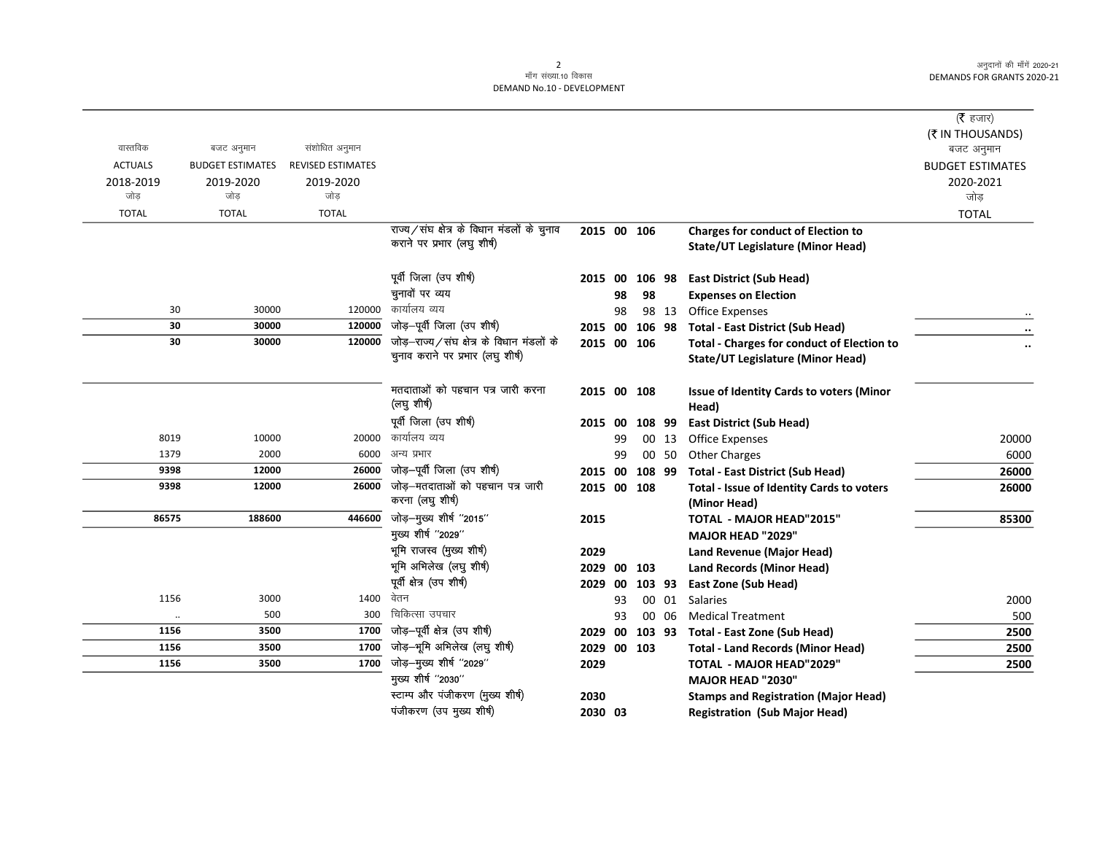$\overline{\phantom{0}}$ 

## 2<br>माँग संख्या.10 विकास DEMAND No.10 - DEVELOPMENT

|                      |                         |                          |                                                                           |             |    |        |       |                                                                 | ( $\bar{\tau}$ हजार)<br>(₹ IN THOUSANDS) |
|----------------------|-------------------------|--------------------------|---------------------------------------------------------------------------|-------------|----|--------|-------|-----------------------------------------------------------------|------------------------------------------|
| वास्तविक             | बजट अनुमान              | संशोधित अनुमान           |                                                                           |             |    |        |       |                                                                 | बजट अनुमान                               |
| <b>ACTUALS</b>       | <b>BUDGET ESTIMATES</b> | <b>REVISED ESTIMATES</b> |                                                                           |             |    |        |       |                                                                 | <b>BUDGET ESTIMATES</b>                  |
| 2018-2019            | 2019-2020               | 2019-2020                |                                                                           |             |    |        |       |                                                                 | 2020-2021                                |
| जोड                  | जोड                     | जोड                      |                                                                           |             |    |        |       |                                                                 | जोड़                                     |
| <b>TOTAL</b>         | <b>TOTAL</b>            | <b>TOTAL</b>             |                                                                           |             |    |        |       |                                                                 | <b>TOTAL</b>                             |
|                      |                         |                          | राज्य/संघ क्षेत्र के विधान मंडलों के चुनाव<br>कराने पर प्रभार (लघु शीर्ष) | 2015 00 106 |    |        |       | <b>Charges for conduct of Election to</b>                       |                                          |
|                      |                         |                          |                                                                           |             |    |        |       | <b>State/UT Legislature (Minor Head)</b>                        |                                          |
|                      |                         |                          | पूर्वी जिला (उप शीर्ष)                                                    | 2015 00     |    | 106 98 |       | <b>East District (Sub Head)</b>                                 |                                          |
|                      |                         |                          | चुनावों पर व्यय                                                           |             | 98 | 98     |       | <b>Expenses on Election</b>                                     |                                          |
| 30                   | 30000                   | 120000                   | कार्यालय व्यय                                                             |             | 98 |        | 98 13 | <b>Office Expenses</b>                                          |                                          |
| 30                   | 30000                   | 120000                   | जोड़-पूर्वी जिला (उप शीर्ष)                                               | 2015 00     |    | 106 98 |       | <b>Total - East District (Sub Head)</b>                         |                                          |
| 30                   | 30000                   | 120000                   | जोड़-राज्य/संघ क्षेत्र के विधान मंडलों के                                 | 2015 00 106 |    |        |       | <b>Total - Charges for conduct of Election to</b>               |                                          |
|                      |                         |                          | चुनाव कराने पर प्रभार (लघु शीर्ष)                                         |             |    |        |       | <b>State/UT Legislature (Minor Head)</b>                        |                                          |
|                      |                         |                          |                                                                           |             |    |        |       |                                                                 |                                          |
|                      |                         |                          | मतदाताओं को पहचान पत्र जारी करना                                          | 2015 00 108 |    |        |       | Issue of Identity Cards to voters (Minor                        |                                          |
|                      |                         |                          | (लघु शीर्ष)                                                               |             |    |        |       | Head)                                                           |                                          |
|                      |                         |                          | पूर्वी जिला (उप शीर्ष)                                                    | 2015 00     |    | 108 99 |       | <b>East District (Sub Head)</b>                                 |                                          |
| 8019                 | 10000                   | 20000                    | कार्यालय व्यय                                                             |             | 99 |        | 00 13 | <b>Office Expenses</b>                                          | 20000                                    |
| 1379                 | 2000                    | 6000                     | अन्य प्रभार                                                               |             | 99 |        | 00 50 | <b>Other Charges</b>                                            | 6000                                     |
| 9398                 | 12000                   | 26000                    | जोड़-पूर्वी जिला (उप शीर्ष)                                               | 2015 00     |    | 108 99 |       | <b>Total - East District (Sub Head)</b>                         | 26000                                    |
| 9398                 | 12000                   | 26000                    | जोड़-मतदाताओं को पहचान पत्र जारी<br>करना (लघु शीर्ष)                      | 2015 00 108 |    |        |       | Total - Issue of Identity Cards to voters                       | 26000                                    |
|                      |                         |                          | जोड़-मुख्य शीर्ष "2015"                                                   |             |    |        |       | (Minor Head)                                                    |                                          |
| 86575                | 188600                  | 446600                   | मुख्य शीर्ष "2029"                                                        | 2015        |    |        |       | <b>TOTAL - MAJOR HEAD"2015"</b>                                 | 85300                                    |
|                      |                         |                          | भूमि राजस्व (मुख्य शीर्ष)                                                 | 2029        |    |        |       | MAJOR HEAD "2029"                                               |                                          |
|                      |                         |                          | भूमि अभिलेख (लघु शीर्ष)                                                   | 2029        | 00 | 103    |       | Land Revenue (Major Head)                                       |                                          |
|                      |                         |                          | पूर्वी क्षेत्र (उप शीर्ष)                                                 | 2029 00     |    | 103 93 |       | <b>Land Records (Minor Head)</b><br><b>East Zone (Sub Head)</b> |                                          |
| 1156                 | 3000                    | 1400                     | वेतन                                                                      |             | 93 |        | 00 01 | Salaries                                                        | 2000                                     |
| $\ddot{\phantom{a}}$ | 500                     | 300                      | चिकित्सा उपचार                                                            |             | 93 |        | 00 06 | <b>Medical Treatment</b>                                        | 500                                      |
| 1156                 | 3500                    | 1700                     | जोड़—पूर्वी क्षेत्र (उप शीर्ष)                                            | 2029        | 00 |        |       | 103 93 Total - East Zone (Sub Head)                             | 2500                                     |
| 1156                 | 3500                    | 1700                     | जोड़-भूमि अभिलेख (लघु शीर्ष)                                              | 2029 00 103 |    |        |       | <b>Total - Land Records (Minor Head)</b>                        | 2500                                     |
| 1156                 | 3500                    | 1700                     | जोड़-मुख्य शीर्ष "2029"                                                   | 2029        |    |        |       | <b>TOTAL - MAJOR HEAD"2029"</b>                                 | 2500                                     |
|                      |                         |                          | मुख्य शीर्ष "2030"                                                        |             |    |        |       | <b>MAJOR HEAD "2030"</b>                                        |                                          |
|                      |                         |                          | स्टाम्प और पंजीकरण (मुख्य शीर्ष)                                          | 2030        |    |        |       | <b>Stamps and Registration (Major Head)</b>                     |                                          |
|                      |                         |                          | पंजीकरण (उप मुख्य शीर्ष)                                                  | 2030 03     |    |        |       | <b>Registration (Sub Major Head)</b>                            |                                          |
|                      |                         |                          |                                                                           |             |    |        |       |                                                                 |                                          |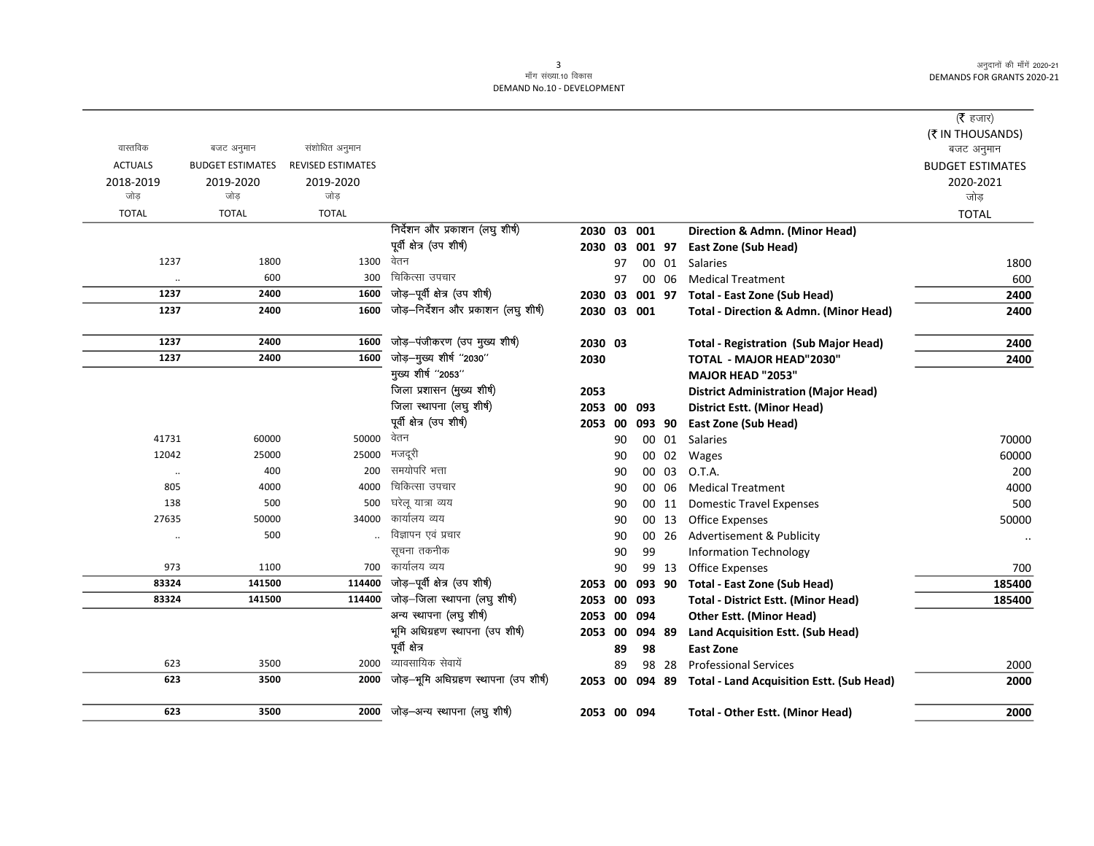$\overline{\phantom{0}}$ 

## 3<br>माँग संख्या.10 विकास DEMAND No.10 - DEVELOPMENT

|                      |                         |                          |                                       |             |    |        |       |                                                   | ( $\bar{\tau}$ हजार)<br>(₹ IN THOUSANDS) |
|----------------------|-------------------------|--------------------------|---------------------------------------|-------------|----|--------|-------|---------------------------------------------------|------------------------------------------|
| वास्तविक             | बजट अनुमान              | संशोधित अनुमान           |                                       |             |    |        |       |                                                   | बजट अनुमान                               |
| <b>ACTUALS</b>       | <b>BUDGET ESTIMATES</b> | <b>REVISED ESTIMATES</b> |                                       |             |    |        |       |                                                   | <b>BUDGET ESTIMATES</b>                  |
| 2018-2019            | 2019-2020               | 2019-2020                |                                       |             |    |        |       |                                                   | 2020-2021                                |
| जोड़                 | जोड                     | जोड़                     |                                       |             |    |        |       |                                                   | जोड                                      |
| <b>TOTAL</b>         | <b>TOTAL</b>            | <b>TOTAL</b>             |                                       |             |    |        |       |                                                   | <b>TOTAL</b>                             |
|                      |                         |                          | निर्देशन और प्रकाशन (लघु शीर्ष)       | 2030        |    | 03 001 |       | Direction & Admn. (Minor Head)                    |                                          |
|                      |                         |                          | पूर्वी क्षेत्र (उप शीर्ष)             | 2030 03     |    | 001 97 |       | <b>East Zone (Sub Head)</b>                       |                                          |
| 1237                 | 1800                    | 1300                     | वेतन                                  |             | 97 |        | 00 01 | <b>Salaries</b>                                   | 1800                                     |
| $\ldots$             | 600                     | 300                      | चिकित्सा उपचार                        |             | 97 |        | 00 06 | <b>Medical Treatment</b>                          | 600                                      |
| 1237                 | 2400                    | 1600                     | जोड़-पूर्वी क्षेत्र (उप शीर्ष)        | 2030 03     |    |        |       | 001 97 Total - East Zone (Sub Head)               | 2400                                     |
| 1237                 | 2400                    | 1600                     | जोड़-निर्देशन और प्रकाशन (लघु शीर्ष)  | 2030 03 001 |    |        |       | <b>Total - Direction &amp; Admn. (Minor Head)</b> | 2400                                     |
| 1237                 | 2400                    | 1600                     | जोड़-पंजीकरण (उप मुख्य शीर्ष)         | 2030 03     |    |        |       | <b>Total - Registration (Sub Major Head)</b>      | 2400                                     |
| 1237                 | 2400                    | 1600                     | जोड़-मुख्य शीर्ष "2030"               | 2030        |    |        |       | <b>TOTAL - MAJOR HEAD"2030"</b>                   | 2400                                     |
|                      |                         |                          | मुख्य शीर्ष "2053"                    |             |    |        |       | MAJOR HEAD "2053"                                 |                                          |
|                      |                         |                          | जिला प्रशासन (मुख्य शीर्ष)            | 2053        |    |        |       | <b>District Administration (Major Head)</b>       |                                          |
|                      |                         |                          | जिला स्थापना (लघु शीर्ष)              | 2053        | 00 | 093    |       | <b>District Estt. (Minor Head)</b>                |                                          |
|                      |                         |                          | पूर्वी क्षेत्र (उप शीर्ष)             | 2053        | 00 | 093 90 |       | <b>East Zone (Sub Head)</b>                       |                                          |
| 41731                | 60000                   | 50000                    | वेतन                                  |             | 90 |        |       | 00 01 Salaries                                    | 70000                                    |
| 12042                | 25000                   | 25000                    | मजदूरी                                |             | 90 |        | 00 02 | Wages                                             | 60000                                    |
| $\ddot{\phantom{0}}$ | 400                     | 200                      | समयोपरि भत्ता                         |             | 90 |        | 00 03 | O.T.A.                                            | 200                                      |
| 805                  | 4000                    | 4000                     | चिकित्सा उपचार                        |             | 90 |        | 00 06 | <b>Medical Treatment</b>                          | 4000                                     |
| 138                  | 500                     | 500                      | घरेलू यात्रा व्यय                     |             | 90 |        | 00 11 | <b>Domestic Travel Expenses</b>                   | 500                                      |
| 27635                | 50000                   | 34000                    | कार्यालय व्यय                         |             | 90 |        | 00 13 | <b>Office Expenses</b>                            | 50000                                    |
| $\ddot{\phantom{0}}$ | 500                     |                          | विज्ञापन एवं प्रचार                   |             | 90 |        | 00 26 | Advertisement & Publicity                         | $\cdot\cdot$                             |
|                      |                         |                          | सूचना तकनीक                           |             | 90 | 99     |       | <b>Information Technology</b>                     |                                          |
| 973                  | 1100                    | 700                      | कार्यालय व्यय                         |             | 90 |        | 99 13 | <b>Office Expenses</b>                            | 700                                      |
| 83324                | 141500                  | 114400                   | जोड़-पूर्वी क्षेत्र (उप शीर्ष)        | 2053        | 00 | 093 90 |       | Total - East Zone (Sub Head)                      | 185400                                   |
| 83324                | 141500                  | 114400                   | जोड़-जिला स्थापना (लघु शीर्ष)         | 2053        | 00 | 093    |       | <b>Total - District Estt. (Minor Head)</b>        | 185400                                   |
|                      |                         |                          | अन्य स्थापना (लघु शीर्ष)              | 2053        | 00 | 094    |       | <b>Other Estt. (Minor Head)</b>                   |                                          |
|                      |                         |                          | भूमि अधिग्रहण स्थापना (उप शीर्ष)      | 2053 00     |    | 094 89 |       | Land Acquisition Estt. (Sub Head)                 |                                          |
|                      |                         |                          | पूर्वी क्षेत्र                        |             | 89 | 98     |       | <b>East Zone</b>                                  |                                          |
| 623                  | 3500                    | 2000                     | व्यावसायिक सेवायें                    |             | 89 |        | 98 28 | <b>Professional Services</b>                      | 2000                                     |
| 623                  | 3500                    | 2000                     | जोड़-भूमि अधिग्रहण स्थापना (उप शीर्ष) | 2053        | 00 | 094 89 |       | <b>Total - Land Acquisition Estt. (Sub Head)</b>  | 2000                                     |
| 623                  | 3500                    | 2000                     | जोड़–अन्य स्थापना (लघु शीर्ष)         | 2053 00 094 |    |        |       | <b>Total - Other Estt. (Minor Head)</b>           | 2000                                     |
|                      |                         |                          |                                       |             |    |        |       |                                                   |                                          |